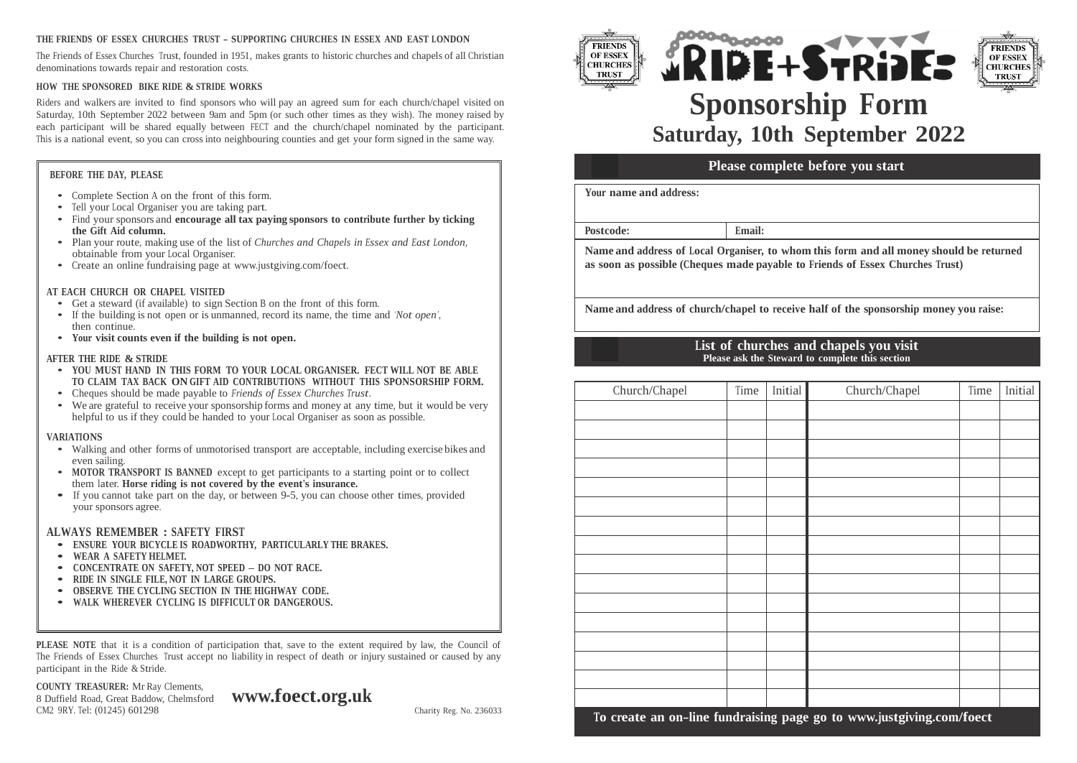#### **THE FRIENDS OF ESSEX CHURCHES TRUST - SUPPORTING CHURCHES IN ESSEX AND EAST LONDON**

The Friends of Essex Churches Trust, founded in 1951, makes grants to historic churches and chapels of all Christian denominations towards repair and restoration costs.

#### **HOW THE SPONSORED BIKE RIDE & STRIDE WORKS**

Riders and walkers are invited to find sponsors who will pay an agreed sum for each church/chapel visited on Saturday, 10th September 2022 between 9am and 5pm (or such other times as they wish). The money raised by each participant will be shared equally between FECT and the church/chapel nominated by the participant. This is a national event, so you can crossinto neighbouring counties and get your form signed in the same way.

### **BEFORE THE DAY, PLEASE**

- Complete Section <sup>A</sup> on the front of this form.
- Tell your Local Organiser you are taking part.
- Find your sponsors and **encourage all tax paying sponsors to contribute further by ticking the Gift Aid column.**
- Plan your route, making use of the list of *Churches and Chapels in Essex and East London,* obtainable from your Local Organiser.
- Create an online fundraising page at [www.justgiving.com/foect.](http://www.justgiving.com/foect)

#### **AT EACH CHURCH OR CHAPEL VISITED**

- Get a steward (if available) to sign Section B on the front of this form.<br>• If the building is not open or is unmanned, record its name, the time a
- If the building is not open or is unmanned, record its name, the time and *'Not open'*, then continue.
- **Your visit counts even if the building is not open.**

#### **AFTER THE RIDE & STRIDE**

- **YOU MUST HAND IN THIS FORM TO YOUR LOCAL ORGANISER. FECT WILL NOT BE ABLE TO CLAIM TAX BACK ON GIFT AID CONTRIBUTIONS WITHOUT THIS SPONSORSHIP FORM.**
- Cheques should be made payable to *Friends of Essex Churches Trust*.
- We are grateful to receive your sponsorship forms and money at any time, but it would be very helpful to us if they could be handed to your Local Organiser as soon as possible.

#### **VARIATIONS**

- Walking and other forms of unmotorised transport are acceptable, including exercise bikes and even sailing.
- **MOTOR TRANSPORT IS BANNED** except to get participants to a starting point or to collect them later. **Horse riding is not covered by the event's insurance.**
- If you cannot take part on the day, or between 9-5, you can choose other times, provided your sponsors agree.

#### **ALWAYS REMEMBER : SAFETY FIRST**

- **ENSURE YOUR BICYCLE IS ROADWORTHY, PARTICULARLY THE BRAKES.**
- **WEAR <sup>A</sup> SAFETY HELMET.**
- **CONCENTRATE ON SAFETY, NOT SPEED – DO NOT RACE.**
- **RIDE IN SINGLE FILE, NOT IN LARGE GROUPS.**
- **OBSERVE THE CYCLING SECTION IN THE HIGHWAY CODE.**
- **WALK WHEREVER CYCLING IS DIFFICULT OR DANGEROUS.**

**PLEASE NOTE** that it is a condition of participation that, save to the extent required by law, the Council of The Friends of Essex Churches Trust accept no liability in respect of death or injury sustained or caused by any participant in the Ride & Stride.

**COUNTY TREASURER:** Mr Ray Clements, 8 Duffield Road, Great Baddow, Chelmsford CM2 9RY. Tel: (01245) 601298

**[www.foect.org.uk](http://www.foect.org.uk/)**



**B**



# **Sponsorship Form Saturday, 10th September 2022**

## **A Please complete before you start**

**Your name and address:**

**Postcode: Email:**

**Name and address of Local Organiser, to whom this form and all money should be returned as soon as possible (Cheques made payable to Friends of Essex Churches Trust)**

**Name and address of church/chapel to receive half of the sponsorship money you raise:**

## **List of churches and chapels you visit Please ask the Steward to complete this section**

| JUNJIIII FUNIJI.         | Church/Chapel | Time | Initial | Church/Chapel                                                        | Time | Initial |
|--------------------------|---------------|------|---------|----------------------------------------------------------------------|------|---------|
| it would be very<br>ble. |               |      |         |                                                                      |      |         |
| xercise bikes and        |               |      |         |                                                                      |      |         |
| or to collect            |               |      |         |                                                                      |      |         |
| es, provided             |               |      |         |                                                                      |      |         |
|                          |               |      |         |                                                                      |      |         |
|                          |               |      |         |                                                                      |      |         |
|                          |               |      |         |                                                                      |      |         |
|                          |               |      |         |                                                                      |      |         |
|                          |               |      |         |                                                                      |      |         |
| y law, the Council of    |               |      |         |                                                                      |      |         |
| ned or caused by any     |               |      |         |                                                                      |      |         |
|                          |               |      |         |                                                                      |      |         |
| Charity Reg. No. 236033  |               |      |         | To create an on-line fundraising page go to www.justgiving.com/foect |      |         |